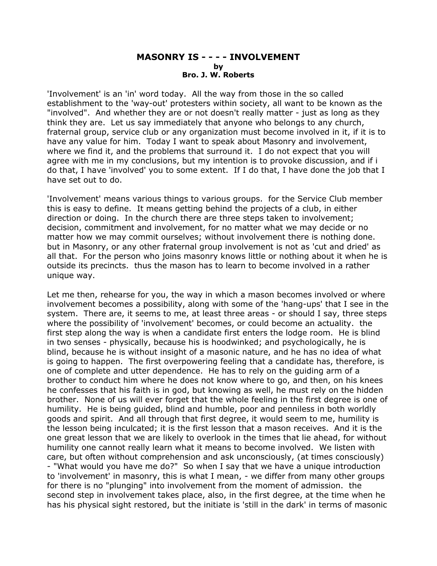## **MASONRY IS - - - - INVOLVEMENT by Bro. J. W. Roberts**

'Involvement' is an 'in' word today. All the way from those in the so called establishment to the 'way-out' protesters within society, all want to be known as the "involved". And whether they are or not doesn't really matter - just as long as they think they are. Let us say immediately that anyone who belongs to any church, fraternal group, service club or any organization must become involved in it, if it is to have any value for him. Today I want to speak about Masonry and involvement, where we find it, and the problems that surround it. I do not expect that you will agree with me in my conclusions, but my intention is to provoke discussion, and if i do that, I have 'involved' you to some extent. If I do that, I have done the job that I have set out to do.

'Involvement' means various things to various groups. for the Service Club member this is easy to define. It means getting behind the projects of a club, in either direction or doing. In the church there are three steps taken to involvement; decision, commitment and involvement, for no matter what we may decide or no matter how we may commit ourselves; without involvement there is nothing done. but in Masonry, or any other fraternal group involvement is not as 'cut and dried' as all that. For the person who joins masonry knows little or nothing about it when he is outside its precincts. thus the mason has to learn to become involved in a rather unique way.

Let me then, rehearse for you, the way in which a mason becomes involved or where involvement becomes a possibility, along with some of the 'hang-ups' that I see in the system. There are, it seems to me, at least three areas - or should I say, three steps where the possibility of 'involvement' becomes, or could become an actuality. the first step along the way is when a candidate first enters the lodge room. He is blind in two senses - physically, because his is hoodwinked; and psychologically, he is blind, because he is without insight of a masonic nature, and he has no idea of what is going to happen. The first overpowering feeling that a candidate has, therefore, is one of complete and utter dependence. He has to rely on the guiding arm of a brother to conduct him where he does not know where to go, and then, on his knees he confesses that his faith is in god, but knowing as well, he must rely on the hidden brother. None of us will ever forget that the whole feeling in the first degree is one of humility. He is being guided, blind and humble, poor and penniless in both worldly goods and spirit. And all through that first degree, it would seem to me, humility is the lesson being inculcated; it is the first lesson that a mason receives. And it is the one great lesson that we are likely to overlook in the times that lie ahead, for without humility one cannot really learn what it means to become involved. We listen with care, but often without comprehension and ask unconsciously, (at times consciously) - "What would you have me do?" So when I say that we have a unique introduction to 'involvement' in masonry, this is what I mean, - we differ from many other groups for there is no "plunging" into involvement from the moment of admission. the second step in involvement takes place, also, in the first degree, at the time when he has his physical sight restored, but the initiate is 'still in the dark' in terms of masonic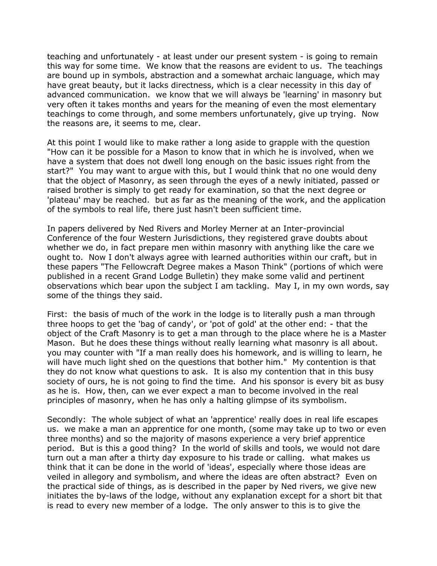teaching and unfortunately - at least under our present system - is going to remain this way for some time. We know that the reasons are evident to us. The teachings are bound up in symbols, abstraction and a somewhat archaic language, which may have great beauty, but it lacks directness, which is a clear necessity in this day of advanced communication. we know that we will always be 'learning' in masonry but very often it takes months and years for the meaning of even the most elementary teachings to come through, and some members unfortunately, give up trying. Now the reasons are, it seems to me, clear.

At this point I would like to make rather a long aside to grapple with the question "How can it be possible for a Mason to know that in which he is involved, when we have a system that does not dwell long enough on the basic issues right from the start?" You may want to argue with this, but I would think that no one would deny that the object of Masonry, as seen through the eyes of a newly initiated, passed or raised brother is simply to get ready for examination, so that the next degree or 'plateau' may be reached. but as far as the meaning of the work, and the application of the symbols to real life, there just hasn't been sufficient time.

In papers delivered by Ned Rivers and Morley Merner at an Inter-provincial Conference of the four Western Jurisdictions, they registered grave doubts about whether we do, in fact prepare men within masonry with anything like the care we ought to. Now I don't always agree with learned authorities within our craft, but in these papers "The Fellowcraft Degree makes a Mason Think" (portions of which were published in a recent Grand Lodge Bulletin) they make some valid and pertinent observations which bear upon the subject I am tackling. May I, in my own words, say some of the things they said.

First: the basis of much of the work in the lodge is to literally push a man through three hoops to get the 'bag of candy', or 'pot of gold' at the other end: - that the object of the Craft Masonry is to get a man through to the place where he is a Master Mason. But he does these things without really learning what masonry is all about. you may counter with "If a man really does his homework, and is willing to learn, he will have much light shed on the questions that bother him." My contention is that they do not know what questions to ask. It is also my contention that in this busy society of ours, he is not going to find the time. And his sponsor is every bit as busy as he is. How, then, can we ever expect a man to become involved in the real principles of masonry, when he has only a halting glimpse of its symbolism.

Secondly: The whole subject of what an 'apprentice' really does in real life escapes us. we make a man an apprentice for one month, (some may take up to two or even three months) and so the majority of masons experience a very brief apprentice period. But is this a good thing? In the world of skills and tools, we would not dare turn out a man after a thirty day exposure to his trade or calling. what makes us think that it can be done in the world of 'ideas', especially where those ideas are veiled in allegory and symbolism, and where the ideas are often abstract? Even on the practical side of things, as is described in the paper by Ned rivers, we give new initiates the by-laws of the lodge, without any explanation except for a short bit that is read to every new member of a lodge. The only answer to this is to give the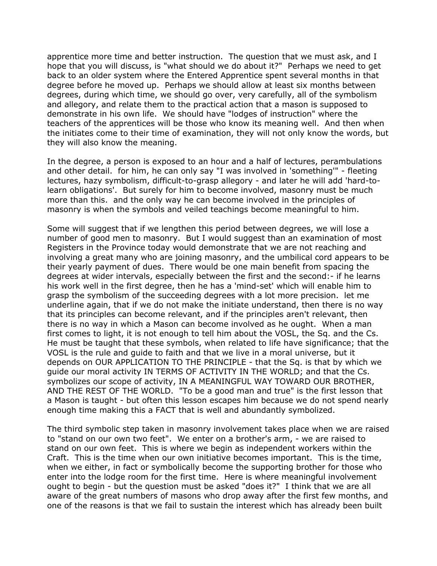apprentice more time and better instruction. The question that we must ask, and I hope that you will discuss, is "what should we do about it?" Perhaps we need to get back to an older system where the Entered Apprentice spent several months in that degree before he moved up. Perhaps we should allow at least six months between degrees, during which time, we should go over, very carefully, all of the symbolism and allegory, and relate them to the practical action that a mason is supposed to demonstrate in his own life. We should have "lodges of instruction" where the teachers of the apprentices will be those who know its meaning well. And then when the initiates come to their time of examination, they will not only know the words, but they will also know the meaning.

In the degree, a person is exposed to an hour and a half of lectures, perambulations and other detail. for him, he can only say "I was involved in 'something'" - fleeting lectures, hazy symbolism, difficult-to-grasp allegory - and later he will add 'hard-tolearn obligations'. But surely for him to become involved, masonry must be much more than this. and the only way he can become involved in the principles of masonry is when the symbols and veiled teachings become meaningful to him.

Some will suggest that if we lengthen this period between degrees, we will lose a number of good men to masonry. But I would suggest than an examination of most Registers in the Province today would demonstrate that we are not reaching and involving a great many who are joining masonry, and the umbilical cord appears to be their yearly payment of dues. There would be one main benefit from spacing the degrees at wider intervals, especially between the first and the second:- if he learns his work well in the first degree, then he has a 'mind-set' which will enable him to grasp the symbolism of the succeeding degrees with a lot more precision. let me underline again, that if we do not make the initiate understand, then there is no way that its principles can become relevant, and if the principles aren't relevant, then there is no way in which a Mason can become involved as he ought. When a man first comes to light, it is not enough to tell him about the VOSL, the Sq. and the Cs. He must be taught that these symbols, when related to life have significance; that the VOSL is the rule and guide to faith and that we live in a moral universe, but it depends on OUR APPLICATION TO THE PRINCIPLE - that the Sq. is that by which we guide our moral activity IN TERMS OF ACTIVITY IN THE WORLD; and that the Cs. symbolizes our scope of activity, IN A MEANINGFUL WAY TOWARD OUR BROTHER, AND THE REST OF THE WORLD. "To be a good man and true" is the first lesson that a Mason is taught - but often this lesson escapes him because we do not spend nearly enough time making this a FACT that is well and abundantly symbolized.

The third symbolic step taken in masonry involvement takes place when we are raised to "stand on our own two feet". We enter on a brother's arm, - we are raised to stand on our own feet. This is where we begin as independent workers within the Craft. This is the time when our own initiative becomes important. This is the time, when we either, in fact or symbolically become the supporting brother for those who enter into the lodge room for the first time. Here is where meaningful involvement ought to begin - but the question must be asked "does it?" I think that we are all aware of the great numbers of masons who drop away after the first few months, and one of the reasons is that we fail to sustain the interest which has already been built